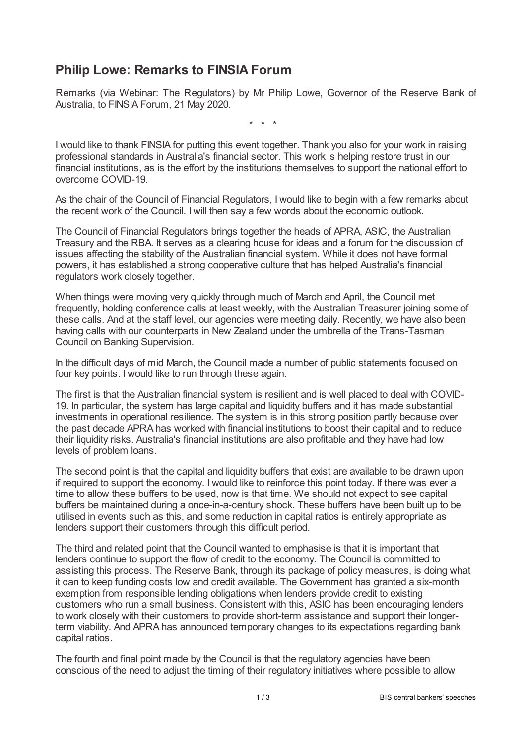## **Philip Lowe: Remarks to FINSIA Forum**

Remarks (via Webinar: The Regulators) by Mr Philip Lowe, Governor of the Reserve Bank of Australia, to FINSIA Forum, 21 May 2020.

\* \* \*

I would like to thank FINSIA for putting this event together. Thank you also for your work in raising professional standards in Australia's financial sector. This work is helping restore trust in our financial institutions, as is the effort by the institutions themselves to support the national effort to overcome COVID-19.

As the chair of the Council of Financial Regulators, I would like to begin with a few remarks about the recent work of the Council. I will then say a few words about the economic outlook.

The Council of Financial Regulators brings together the heads of APRA, ASIC, the Australian Treasury and the RBA. It serves as a clearing house for ideas and a forum for the discussion of issues affecting the stability of the Australian financial system. While it does not have formal powers, it has established a strong cooperative culture that has helped Australia's financial regulators work closely together.

When things were moving very quickly through much of March and April, the Council met frequently, holding conference calls at least weekly, with the Australian Treasurer joining some of these calls. And at the staff level, our agencies were meeting daily. Recently, we have also been having calls with our counterparts in New Zealand under the umbrella of the Trans-Tasman Council on Banking Supervision.

In the difficult days of mid March, the Council made a number of public statements focused on four key points. I would like to run through these again.

The first is that the Australian financial system is resilient and is well placed to deal with COVID-19. In particular, the system has large capital and liquidity buffers and it has made substantial investments in operational resilience. The system is in this strong position partly because over the past decade APRA has worked with financial institutions to boost their capital and to reduce their liquidity risks. Australia's financial institutions are also profitable and they have had low levels of problem loans.

The second point is that the capital and liquidity buffers that exist are available to be drawn upon if required to support the economy. I would like to reinforce this point today. If there was ever a time to allow these buffers to be used, now is that time. We should not expect to see capital buffers be maintained during a once-in-a-century shock. These buffers have been built up to be utilised in events such as this, and some reduction in capital ratios is entirely appropriate as lenders support their customers through this difficult period.

The third and related point that the Council wanted to emphasise is that it is important that lenders continue to support the flow of credit to the economy. The Council is committed to assisting this process. The Reserve Bank, through its package of policy measures, is doing what it can to keep funding costs low and credit available. The Government has granted a six-month exemption from responsible lending obligations when lenders provide credit to existing customers who run a small business. Consistent with this, ASIC has been encouraging lenders to work closely with their customers to provide short-term assistance and support their longerterm viability. And APRA has announced temporary changes to its expectations regarding bank capital ratios.

The fourth and final point made by the Council is that the regulatory agencies have been conscious of the need to adjust the timing of their regulatory initiatives where possible to allow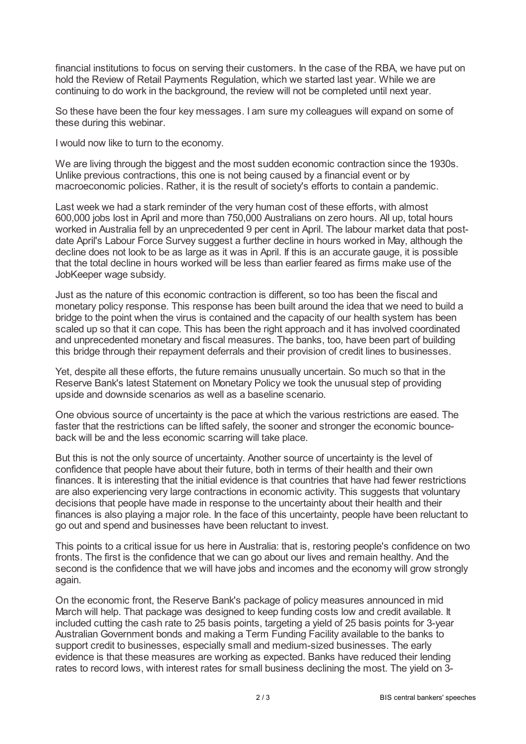financial institutions to focus on serving their customers. In the case of the RBA, we have put on hold the Review of Retail Payments Regulation, which we started last year. While we are continuing to do work in the background, the review will not be completed until next year.

So these have been the four key messages. I am sure my colleagues will expand on some of these during this webinar.

I would now like to turn to the economy.

We are living through the biggest and the most sudden economic contraction since the 1930s. Unlike previous contractions, this one is not being caused by a financial event or by macroeconomic policies. Rather, it is the result of society's efforts to contain a pandemic.

Last week we had a stark reminder of the very human cost of these efforts, with almost 600,000 jobs lost in April and more than 750,000 Australians on zero hours. All up, total hours worked in Australia fell by an unprecedented 9 per cent in April. The labour market data that postdate April's Labour Force Survey suggest a further decline in hours worked in May, although the decline does not look to be as large as it was in April. If this is an accurate gauge, it is possible that the total decline in hours worked will be less than earlier feared as firms make use of the JobKeeper wage subsidy.

Just as the nature of this economic contraction is different, so too has been the fiscal and monetary policy response. This response has been built around the idea that we need to build a bridge to the point when the virus is contained and the capacity of our health system has been scaled up so that it can cope. This has been the right approach and it has involved coordinated and unprecedented monetary and fiscal measures. The banks, too, have been part of building this bridge through their repayment deferrals and their provision of credit lines to businesses.

Yet, despite all these efforts, the future remains unusually uncertain. So much so that in the Reserve Bank's latest Statement on Monetary Policy we took the unusual step of providing upside and downside scenarios as well as a baseline scenario.

One obvious source of uncertainty is the pace at which the various restrictions are eased. The faster that the restrictions can be lifted safely, the sooner and stronger the economic bounceback will be and the less economic scarring will take place.

But this is not the only source of uncertainty. Another source of uncertainty is the level of confidence that people have about their future, both in terms of their health and their own finances. It is interesting that the initial evidence is that countries that have had fewer restrictions are also experiencing very large contractions in economic activity. This suggests that voluntary decisions that people have made in response to the uncertainty about their health and their finances is also playing a major role. In the face of this uncertainty, people have been reluctant to go out and spend and businesses have been reluctant to invest.

This points to a critical issue for us here in Australia: that is, restoring people's confidence on two fronts. The first is the confidence that we can go about our lives and remain healthy. And the second is the confidence that we will have jobs and incomes and the economy will grow strongly again.

On the economic front, the Reserve Bank's package of policy measures announced in mid March will help. That package was designed to keep funding costs low and credit available. It included cutting the cash rate to 25 basis points, targeting a yield of 25 basis points for 3-year Australian Government bonds and making a Term Funding Facility available to the banks to support credit to businesses, especially small and medium-sized businesses. The early evidence is that these measures are working as expected. Banks have reduced their lending rates to record lows, with interest rates for small business declining the most. The yield on 3